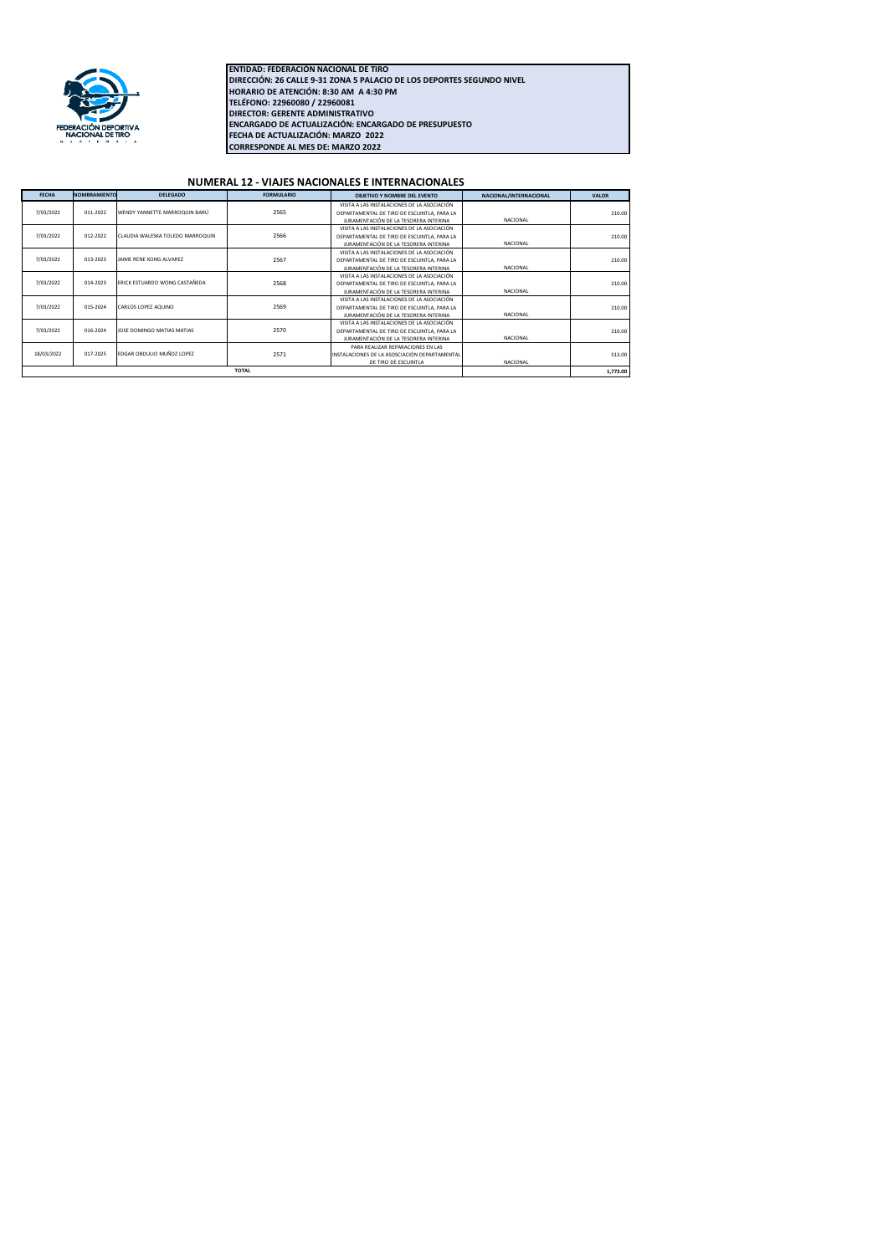

**FECHA DE ACTUALIZACIÓN: MARZO 2022 CORRESPONDE AL MES DE: MARZO 2022 ENCARGADO DE ACTUALIZACIÓN: ENCARGADO DE PRESUPUESTO** ENTIDAD: FEDERACIÓN NACIONAL DE TIRO<br>DIRECCIÓN: 26 CALLE 9-31 ZONA 5 PALACIO DE LOS DEPORTES SEGUNDO NIVEL<br>HORARIO DE ATENCIÓN: 8:30 AM A 4:30 PM<br>TELÉFONO: 22960080 / 22960081<br>DIRECTOR: GERENTE ADMINISTRATIVO

## **NUMERAL 12 - VIAJES NACIONALES E INTERNACIONALES**

| <b>FECHA</b> | <b>NOMBRAMIENTO</b> | <b>DELEGADO</b>                  | <b>FORMULARIO</b> | OBJETIVO Y NOMBRE DEL EVENTO                  | NACIONAL/INTERNACIONAL | <b>VALOR</b> |
|--------------|---------------------|----------------------------------|-------------------|-----------------------------------------------|------------------------|--------------|
| 7/03/2022    |                     |                                  |                   | VISITA A LAS INSTALACIONES DE LA ASOCIACIÓN   |                        |              |
|              | 011-2022            | WENDY YANNETTE MARROQUIN BARÚ    | 2565              | DEPARTAMENTAL DE TIRO DE ESCUINTLA, PARA LA   |                        | 210.00       |
|              |                     |                                  |                   | JURAMENTACIÓN DE LA TESORERA INTERINA         | NACIONAL               |              |
| 7/03/2022    | 012-2022            | CLAUDIA WALESKA TOLEDO MARROQUIN | 2566              | VISITA A LAS INSTALACIONES DE LA ASOCIACIÓN   |                        |              |
|              |                     |                                  |                   | DEPARTAMENTAL DE TIRO DE ESCUINTLA, PARA LA   |                        | 210.00       |
|              |                     |                                  |                   | JURAMENTACIÓN DE LA TESORERA INTERINA         | NACIONAL               |              |
| 7/03/2022    | 013-2023            | <b>IAIME RENE KONG ALVAREZ</b>   | 2567              | VISITA A LAS INSTALACIONES DE LA ASOCIACIÓN   |                        | 210.00       |
|              |                     |                                  |                   | DEPARTAMENTAL DE TIRO DE ESCUINTLA, PARA LA   |                        |              |
|              |                     |                                  |                   | JURAMENTACIÓN DE LA TESORERA INTERINA         | NACIONAL               |              |
| 7/03/2022    | 014-2023            | ERICK ESTUARDO WONG CASTAÑEDA    | 2568              | VISITA A LAS INSTALACIONES DE LA ASOCIACIÓN   |                        | 210.00       |
|              |                     |                                  |                   | DEPARTAMENTAL DE TIRO DE ESCUINTLA, PARA LA   |                        |              |
|              |                     |                                  |                   | JURAMENTACIÓN DE LA TESORERA INTERINA         | NACIONAL               |              |
| 7/03/2022    | 015-2024            | CARLOS LOPEZ AQUINO              | 2569              | VISITA A LAS INSTALACIONES DE LA ASOCIACIÓN   |                        |              |
|              |                     |                                  |                   | DEPARTAMENTAL DE TIRO DE ESCUINTLA, PARA LA   |                        | 210.00       |
|              |                     |                                  |                   | JURAMENTACIÓN DE LA TESORERA INTERINA         | NACIONAL               |              |
| 7/03/2022    | 016-2024            | JOSE DOMINGO MATIAS MATIAS       | 2570              | VISITA A LAS INSTALACIONES DE LA ASOCIACIÓN   |                        | 210.00       |
|              |                     |                                  |                   | DEPARTAMENTAL DE TIRO DE ESCUINTLA, PARA LA   |                        |              |
|              |                     |                                  |                   | JURAMENTACIÓN DE LA TESORERA INTERINA         | NACIONAL               |              |
| 18/03/2022   | 017-2025            | EDGAR OBDULIO MUÑOZ LOPEZ        | 2571              | PARA REALIZAR REPARACIONES EN LAS             |                        |              |
|              |                     |                                  |                   | INSTALACIONES DE LA ASOSCIACIÓN DEPARTAMENTAL |                        | 513.00       |
|              |                     |                                  |                   | DE TIRO DE ESCUINTLA                          | NACIONAL               |              |
|              | <b>TOTAL</b>        |                                  |                   |                                               |                        | 1,773.00     |